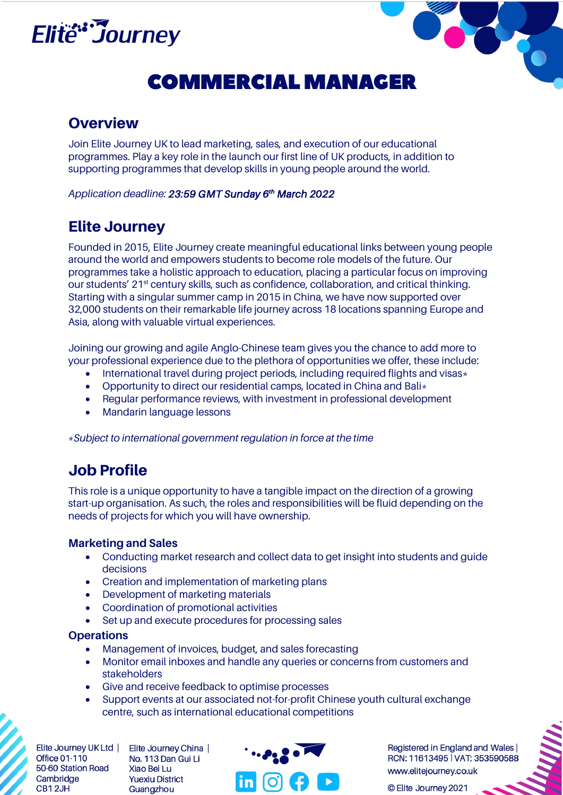

# **COMMERCIAL MANAGER**

### **Overview**

Join Elite Journey UK to lead marketing, sales, and execution of our educational programmes. Play a key role in the launch our first line of UK products, in addition to supporting programmes that develop skills in young people around the world.

*Application deadline: 23:59 GMT Sunday 6th March 2022* 

## Elite Journey

Founded in 2015, Elite Journey create meaningful educational links between young people around the world and empowers students to become role models of the future. Our programmes take a holistic approach to education, placing a particular focus on improving our students' 21<sup>st</sup> century skills, such as confidence, collaboration, and critical thinking. Starting with a singular summer camp in 2015 in China, we have now supported over 32,000 students on their remarkable life journey across 18 locations spanning Europe and Asia, along with valuable virtual experiences.

Joining our growing and agile Anglo-Chinese team gives you the chance to add more to your professional experience due to the plethora of opportunities we offer, these include:

- International travel during project periods, including required flights and visas $\star$
- Opportunity to direct our residential camps, located in China and Bali $\star$
- Regular performance reviews, with investment in professional development
- Mandarin language lessons

*\*Subject to international government regulation in force at the time* 

### Job Profile

This role is a unique opportunity to have a tangible impact on the direction of a growing start-up organisation. As such, the roles and responsibilities will be fluid depending on the needs of projects for which you will have ownership.

#### **Marketing and Sales**

- Conducting market research and collect data to get insight into students and guide decisions
- Creation and implementation of marketing plans
- Development of marketing materials
- Coordination of promotional activities
- Set up and execute procedures for processing sales

#### **Operations**

- Management of invoices, budget, and sales forecasting
- Monitor email inboxes and handle any queries or concerns from customers and stakeholders
- Give and receive feedback to optimise processes
- Support events at our associated not-for-profit Chinese youth cultural exchange centre, such as international educational competitions

**Office 01-110** 50-60 Station Road Cambridge CB12JH

Elite Journey UK Ltd | Elite Journey China | No. 113 Dan Gui Li Xiao Bei Lu **Yuexiu District** Guangzhou



Registered in England and Wales RCN: 11613495 | VAT: 353590588 www.elitejourney.co.uk

© Elite Journey 2021